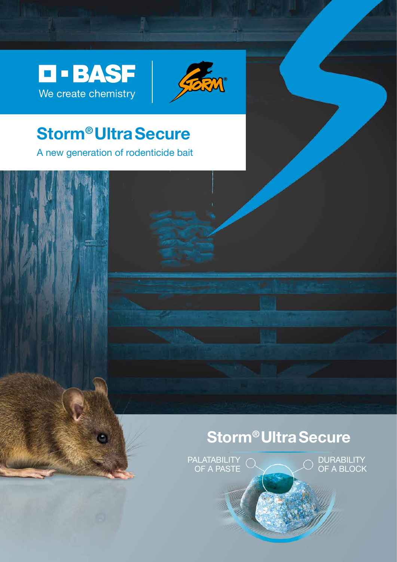D-BASF We create chemistry



# **Storm® Ultra Secure**

A new generation of rodenticide bait

# **Storm® Ultra Secure**

PALATABILITY OF A PASTE

**DURABILITY** OF A BLOCK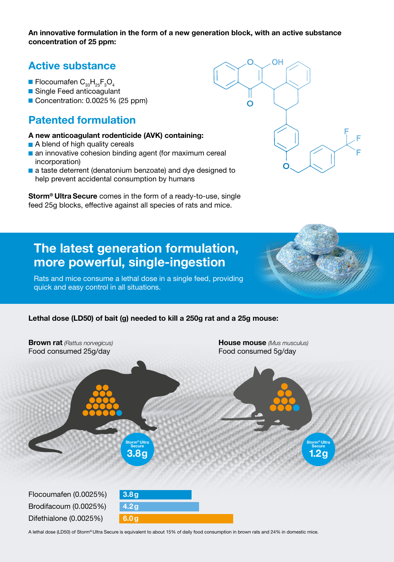**An innovative formulation in the form of a new generation block, with an active substance concentration of 25 ppm:**

## **Active substance**

- Flocoumafen  $\textsf{C}_{_{33}}\textsf{H}_{_{25}}\textsf{F}_{_{3}}\textsf{O}_{_{4}}$
- Single Feed anticoagulant
- Concentration: 0.0025 % (25 ppm)

## **Patented formulation**

- **A new anticoagulant rodenticide (AVK) containing:**
- **A blend of high quality cereals**
- **an innovative cohesion binding agent (for maximum cereal)** incorporation)
- **a** a taste deterrent (denatonium benzoate) and dye designed to help prevent accidental consumption by humans

**Storm® Ultra Secure** comes in the form of a ready-to-use, single feed 25g blocks, effective against all species of rats and mice.



## **The latest generation formulation, more powerful, single-ingestion**

Rats and mice consume a lethal dose in a single feed, providing quick and easy control in all situations.

### **Lethal dose (LD50) of bait (g) needed to kill a 250g rat and a 25g mouse:**



A lethal dose (LD50) of Storm® Ultra Secure is equivalent to about 15% of daily food consumption in brown rats and 24% in domestic mice.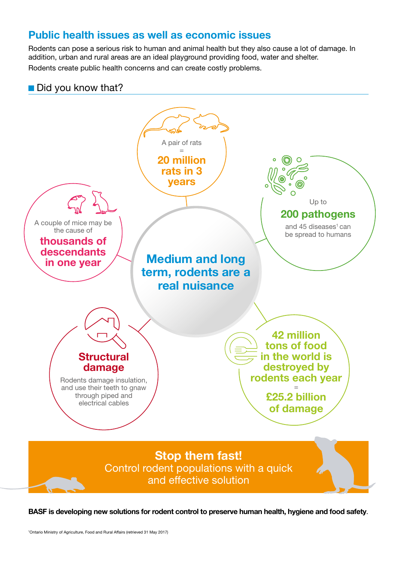## **Public health issues as well as economic issues**

Rodents can pose a serious risk to human and animal health but they also cause a lot of damage. In addition, urban and rural areas are an ideal playground providing food, water and shelter. Rodents create public health concerns and can create costly problems.





**BASF is developing new solutions for rodent control to preserve human health, hygiene and food safety**.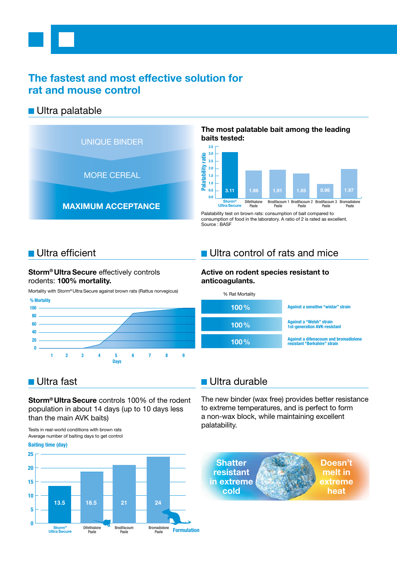## **The fastest and most effective solution for rat and mouse control**

### $\blacksquare$  Ultra palatable



### **The most palatable bait among the leading baits tested:**



Palatability test on brown rats: consumption of bait compared to consumption of food in the laboratory. A ratio of 2 is rated as excellent. Source : BASF

### $\blacksquare$  Ultra efficient

### **Storm® Ultra Secure** effectively controls rodents: **100% mortality.**

Mortality with Storm® Ultra Secure against brown rats (Rattus norvegicus)



## $\blacksquare$  Ultra control of rats and mice

### **Active on rodent species resistant to anticoagulants.**



### Ultra fast

**Storm® Ultra Secure** controls 100% of the rodent population in about 14 days (up to 10 days less than the main AVK baits)

Tests in real-world conditions with brown rats Average number of baiting days to get control

#### **Baiting time (day)**



## $\blacksquare$  Ultra durable

The new binder (wax free) provides better resistance to extreme temperatures, and is perfect to form a non-wax block, while maintaining excellent palatability.

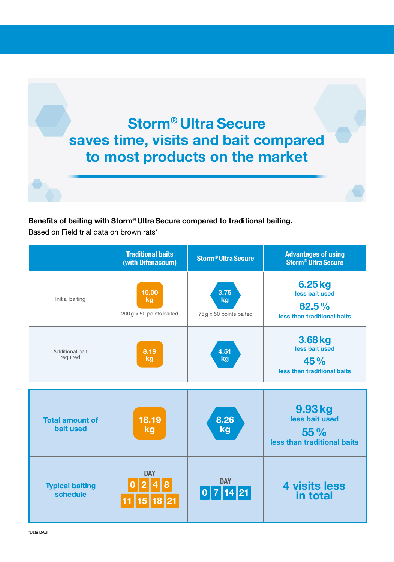

### **Benefits of baiting with Storm® Ultra Secure compared to traditional baiting.**

Based on Field trial data on brown rats\*

|                                            | <b>Traditional baits</b><br>(with Difenacoum) | <b>Storm<sup>®</sup> Ultra Secure</b> | <b>Advantages of using</b><br><b>Storm<sup>®</sup> Ultra Secure</b> |
|--------------------------------------------|-----------------------------------------------|---------------------------------------|---------------------------------------------------------------------|
| Initial baiting                            | 10.00<br>kg<br>200 g x 50 points baited       | 3.75<br>kg<br>75g x 50 points baited  | 6.25 kg<br>less bait used<br>62.5%<br>less than traditional baits   |
| Additional bait<br>required                | 8.19<br>kg                                    | 4.51<br>kg                            | 3.68 kg<br>less bait used<br>45%<br>less than traditional baits     |
| <b>Total amount of</b><br><b>bait used</b> | 18.19<br>kg                                   | 8.26<br>kg                            | 9.93 kg<br>less bait used<br>55%<br>less than traditional baits     |
| <b>Typical baiting</b><br>schedule         | <b>DAY</b>                                    | <b>DAY</b><br>$\boxed{0}$ 7 14 21     | <b>4 visits less</b><br>in total                                    |